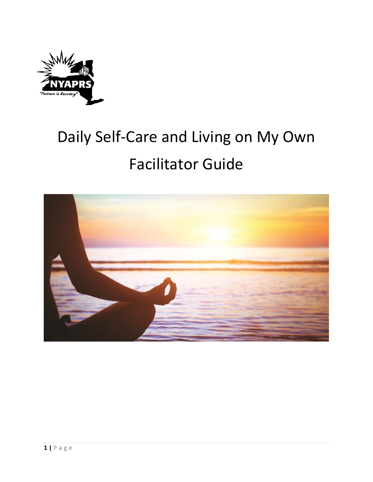

# Daily Self-Care and Living on My Own Facilitator Guide

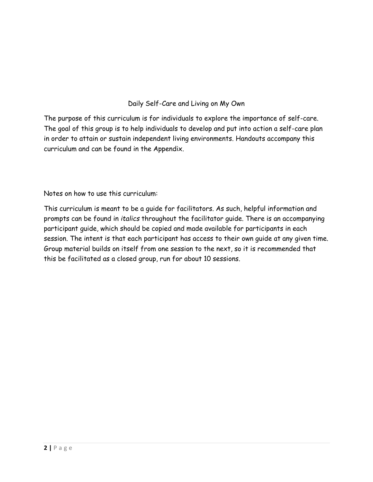#### Daily Self-Care and Living on My Own

The purpose of this curriculum is for individuals to explore the importance of self-care. The goal of this group is to help individuals to develop and put into action a self-care plan in order to attain or sustain independent living environments. Handouts accompany this curriculum and can be found in the Appendix.

Notes on how to use this curriculum:

This curriculum is meant to be a guide for facilitators. As such, helpful information and prompts can be found in *italics* throughout the facilitator guide. There is an accompanying participant guide, which should be copied and made available for participants in each session. The intent is that each participant has access to their own guide at any given time. Group material builds on itself from one session to the next, so it is recommended that this be facilitated as a closed group, run for about 10 sessions.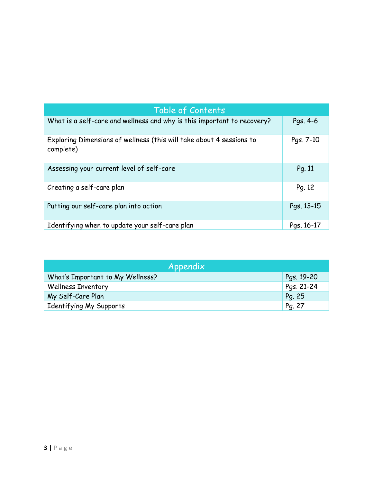| Table of Contents                                                                 |            |
|-----------------------------------------------------------------------------------|------------|
| What is a self-care and wellness and why is this important to recovery?           | Pgs. 4-6   |
| Exploring Dimensions of wellness (this will take about 4 sessions to<br>complete) | Pgs. 7-10  |
| Assessing your current level of self-care                                         | Pg. 11     |
| Creating a self-care plan                                                         | Pg. 12     |
| Putting our self-care plan into action                                            | Pgs. 13-15 |
| Identifying when to update your self-care plan                                    | Pgs. 16-17 |

| Appendix                         |            |
|----------------------------------|------------|
| What's Important to My Wellness? | Pgs. 19-20 |
| <b>Wellness Inventory</b>        | Pgs. 21-24 |
| My Self-Care Plan                | Pg. 25     |
| Identifying My Supports          | Pg. 27     |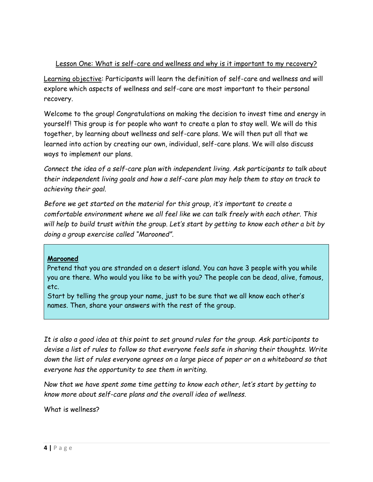#### Lesson One: What is self-care and wellness and why is it important to my recovery?

Learning objective: Participants will learn the definition of self-care and wellness and will explore which aspects of wellness and self-care are most important to their personal recovery.

Welcome to the group! Congratulations on making the decision to invest time and energy in yourself! This group is for people who want to create a plan to stay well. We will do this together, by learning about wellness and self-care plans. We will then put all that we learned into action by creating our own, individual, self-care plans. We will also discuss ways to implement our plans.

*Connect the idea of a self-care plan with independent living. Ask participants to talk about their independent living goals and how a self-care plan may help them to stay on track to achieving their goal.* 

*Before we get started on the material for this group, it's important to create a comfortable environment where we all feel like we can talk freely with each other. This will help to build trust within the group. Let's start by getting to know each other a bit by doing a group exercise called "Marooned".*

#### **Marooned**

Pretend that you are stranded on a desert island. You can have 3 people with you while you are there. Who would you like to be with you? The people can be dead, alive, famous, etc.

Start by telling the group your name, just to be sure that we all know each other's names. Then, share your answers with the rest of the group.

*It is also a good idea at this point to set ground rules for the group. Ask participants to devise a list of rules to follow so that everyone feels safe in sharing their thoughts. Write down the list of rules everyone agrees on a large piece of paper or on a whiteboard so that everyone has the opportunity to see them in writing.*

*Now that we have spent some time getting to know each other, let's start by getting to know more about self-care plans and the overall idea of wellness.*

What is wellness?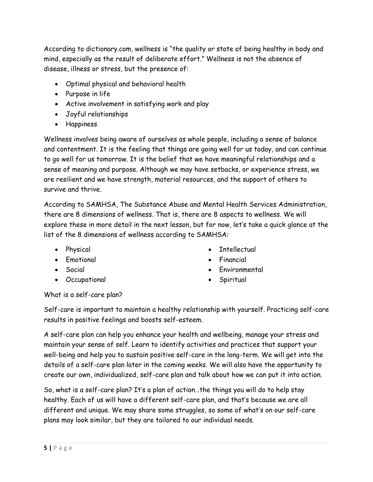According to dictionary.com, wellness is "the quality or state of being healthy in body and mind, especially as the result of deliberate effort." Wellness is not the absence of disease, illness or stress, but the presence of:

- Optimal physical and behavioral health
- Purpose in life
- Active involvement in satisfying work and play
- Joyful relationships
- Happiness

Wellness involves being aware of ourselves as whole people, including a sense of balance and contentment. It is the feeling that things are going well for us today, and can continue to go well for us tomorrow. It is the belief that we have meaningful relationships and a sense of meaning and purpose. Although we may have setbacks, or experience stress, we are resilient and we have strength, material resources, and the support of others to survive and thrive.

According to SAMHSA, The Substance Abuse and Mental Health Services Administration, there are 8 dimensions of wellness. That is, there are 8 aspects to wellness. We will explore these in more detail in the next lesson, but for now, let's take a quick glance at the list of the 8 dimensions of wellness according to SAMHSA:

- Physical
- Emotional
- Social
- Occupational
- Intellectual
- Financial
- Environmental
- Spiritual

What is a self-care plan?

Self-care is important to maintain a healthy relationship with yourself. Practicing self-care results in positive feelings and boosts self-esteem.

A self-care plan can help you enhance your health and wellbeing, manage your stress and maintain your sense of self. Learn to identify activities and practices that support your well-being and help you to sustain positive self-care in the long-term. We will get into the details of a self-care plan later in the coming weeks. We will also have the opportunity to create our own, individualized, self-care plan and talk about how we can put it into action.

So, what is a self-care plan? It's a plan of action…the things you will do to help stay healthy. Each of us will have a different self-care plan, and that's because we are all different and unique. We may share some struggles, so some of what's on our self-care plans may look similar, but they are tailored to our individual needs.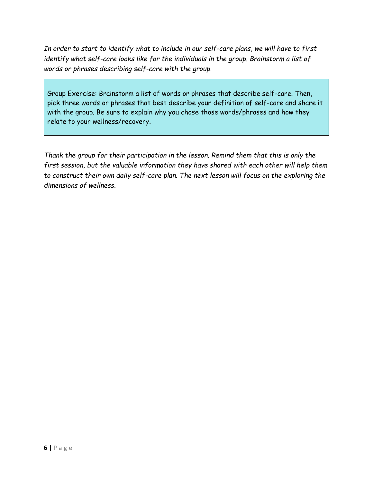*In order to start to identify what to include in our self-care plans, we will have to first identify what self-care looks like for the individuals in the group. Brainstorm a list of words or phrases describing self-care with the group.* 

Group Exercise: Brainstorm a list of words or phrases that describe self-care. Then, pick three words or phrases that best describe your definition of self-care and share it with the group. Be sure to explain why you chose those words/phrases and how they relate to your wellness/recovery.

*Thank the group for their participation in the lesson. Remind them that this is only the first session, but the valuable information they have shared with each other will help them to construct their own daily self-care plan. The next lesson will focus on the exploring the dimensions of wellness.*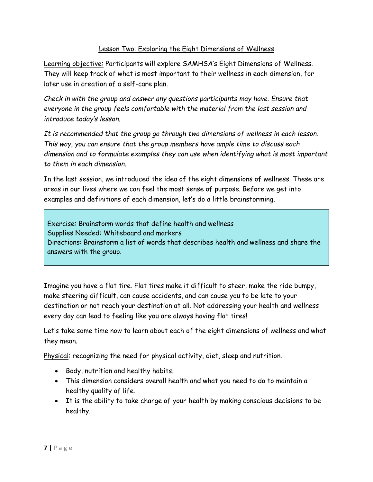#### Lesson Two: Exploring the Eight Dimensions of Wellness

Learning objective: Participants will explore SAMHSA's Eight Dimensions of Wellness. They will keep track of what is most important to their wellness in each dimension, for later use in creation of a self-care plan.

*Check in with the group and answer any questions participants may have. Ensure that everyone in the group feels comfortable with the material from the last session and introduce today's lesson.*

*It is recommended that the group go through two dimensions of wellness in each lesson. This way, you can ensure that the group members have ample time to discuss each dimension and to formulate examples they can use when identifying what is most important to them in each dimension.*

In the last session, we introduced the idea of the eight dimensions of wellness. These are areas in our lives where we can feel the most sense of purpose. Before we get into examples and definitions of each dimension, let's do a little brainstorming.

Exercise: Brainstorm words that define health and wellness Supplies Needed: Whiteboard and markers Directions: Brainstorm a list of words that describes health and wellness and share the answers with the group.

Imagine you have a flat tire. Flat tires make it difficult to steer, make the ride bumpy, make steering difficult, can cause accidents, and can cause you to be late to your destination or not reach your destination at all. Not addressing your health and wellness every day can lead to feeling like you are always having flat tires!

Let's take some time now to learn about each of the eight dimensions of wellness and what they mean.

Physical: recognizing the need for physical activity, diet, sleep and nutrition.

- Body, nutrition and healthy habits.
- This dimension considers overall health and what you need to do to maintain a healthy quality of life.
- It is the ability to take charge of your health by making conscious decisions to be healthy.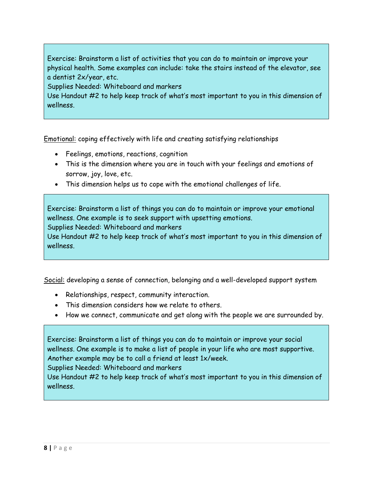Exercise: Brainstorm a list of activities that you can do to maintain or improve your physical health. Some examples can include: take the stairs instead of the elevator, see a dentist 2x/year, etc.

Supplies Needed: Whiteboard and markers

Use Handout #2 to help keep track of what's most important to you in this dimension of wellness.

Emotional: coping effectively with life and creating satisfying relationships

- Feelings, emotions, reactions, cognition
- This is the dimension where you are in touch with your feelings and emotions of sorrow, joy, love, etc.
- This dimension helps us to cope with the emotional challenges of life.

Exercise: Brainstorm a list of things you can do to maintain or improve your emotional wellness. One example is to seek support with upsetting emotions.

Supplies Needed: Whiteboard and markers

Use Handout #2 to help keep track of what's most important to you in this dimension of wellness.

Social: developing a sense of connection, belonging and a well-developed support system

- Relationships, respect, community interaction.
- This dimension considers how we relate to others.
- How we connect, communicate and get along with the people we are surrounded by.

Exercise: Brainstorm a list of things you can do to maintain or improve your social wellness. One example is to make a list of people in your life who are most supportive. Another example may be to call a friend at least 1x/week.

Supplies Needed: Whiteboard and markers

Use Handout #2 to help keep track of what's most important to you in this dimension of wellness.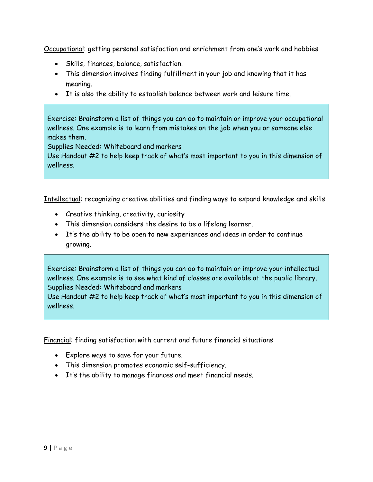Occupational: getting personal satisfaction and enrichment from one's work and hobbies

- Skills, finances, balance, satisfaction.
- This dimension involves finding fulfillment in your job and knowing that it has meaning.
- It is also the ability to establish balance between work and leisure time.

Exercise: Brainstorm a list of things you can do to maintain or improve your occupational wellness. One example is to learn from mistakes on the job when you or someone else makes them.

Supplies Needed: Whiteboard and markers

Use Handout #2 to help keep track of what's most important to you in this dimension of wellness.

Intellectual: recognizing creative abilities and finding ways to expand knowledge and skills

- Creative thinking, creativity, curiosity
- This dimension considers the desire to be a lifelong learner.
- It's the ability to be open to new experiences and ideas in order to continue growing.

Exercise: Brainstorm a list of things you can do to maintain or improve your intellectual wellness. One example is to see what kind of classes are available at the public library. Supplies Needed: Whiteboard and markers

Use Handout #2 to help keep track of what's most important to you in this dimension of wellness.

Financial: finding satisfaction with current and future financial situations

- Explore ways to save for your future.
- This dimension promotes economic self-sufficiency.
- It's the ability to manage finances and meet financial needs.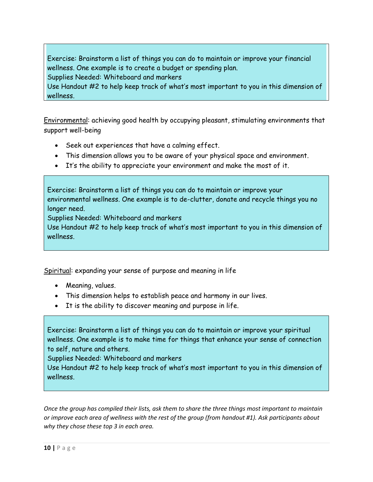Exercise: Brainstorm a list of things you can do to maintain or improve your financial wellness. One example is to create a budget or spending plan. Supplies Needed: Whiteboard and markers

Use Handout #2 to help keep track of what's most important to you in this dimension of wellness.

Environmental: achieving good health by occupying pleasant, stimulating environments that support well-being

- Seek out experiences that have a calming effect.
- This dimension allows you to be aware of your physical space and environment.
- It's the ability to appreciate your environment and make the most of it.

Exercise: Brainstorm a list of things you can do to maintain or improve your environmental wellness. One example is to de-clutter, donate and recycle things you no longer need.

Supplies Needed: Whiteboard and markers

Use Handout #2 to help keep track of what's most important to you in this dimension of wellness.

Spiritual: expanding your sense of purpose and meaning in life

- Meaning, values.
- This dimension helps to establish peace and harmony in our lives.
- It is the ability to discover meaning and purpose in life.

Exercise: Brainstorm a list of things you can do to maintain or improve your spiritual wellness. One example is to make time for things that enhance your sense of connection to self, nature and others.

Supplies Needed: Whiteboard and markers

Use Handout #2 to help keep track of what's most important to you in this dimension of wellness.

*Once the group has compiled their lists, ask them to share the three things most important to maintain or improve each area of wellness with the rest of the group (from handout #1). Ask participants about why they chose these top 3 in each area.*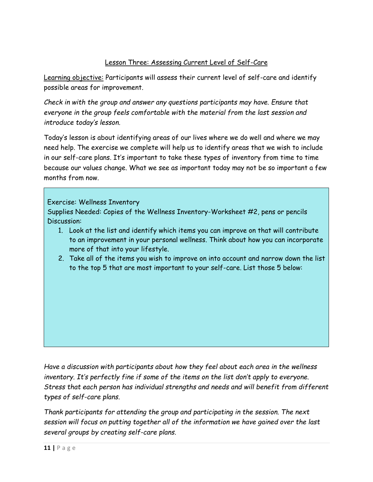#### Lesson Three: Assessing Current Level of Self-Care

Learning objective: Participants will assess their current level of self-care and identify possible areas for improvement.

*Check in with the group and answer any questions participants may have. Ensure that everyone in the group feels comfortable with the material from the last session and introduce today's lesson.*

Today's lesson is about identifying areas of our lives where we do well and where we may need help. The exercise we complete will help us to identify areas that we wish to include in our self-care plans. It's important to take these types of inventory from time to time because our values change. What we see as important today may not be so important a few months from now.

Exercise: Wellness Inventory

Supplies Needed: Copies of the Wellness Inventory-Worksheet #2, pens or pencils Discussion:

- 1. Look at the list and identify which items you can improve on that will contribute to an improvement in your personal wellness. Think about how you can incorporate more of that into your lifestyle.
- 2. Take all of the items you wish to improve on into account and narrow down the list to the top 5 that are most important to your self-care. List those 5 below:

*Have a discussion with participants about how they feel about each area in the wellness inventory. It's perfectly fine if some of the items on the list don't apply to everyone. Stress that each person has individual strengths and needs and will benefit from different types of self-care plans.*

*Thank participants for attending the group and participating in the session. The next session will focus on putting together all of the information we have gained over the last several groups by creating self-care plans.*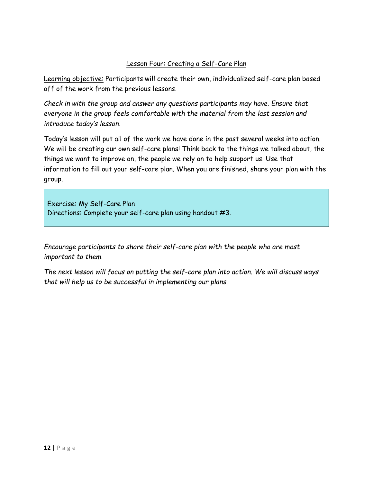#### Lesson Four: Creating a Self-Care Plan

Learning objective: Participants will create their own, individualized self-care plan based off of the work from the previous lessons.

*Check in with the group and answer any questions participants may have. Ensure that everyone in the group feels comfortable with the material from the last session and introduce today's lesson.*

Today's lesson will put all of the work we have done in the past several weeks into action. We will be creating our own self-care plans! Think back to the things we talked about, the things we want to improve on, the people we rely on to help support us. Use that information to fill out your self-care plan. When you are finished, share your plan with the group.

Exercise: My Self-Care Plan Directions: Complete your self-care plan using handout #3.

*Encourage participants to share their self-care plan with the people who are most important to them.*

*The next lesson will focus on putting the self-care plan into action. We will discuss ways that will help us to be successful in implementing our plans.*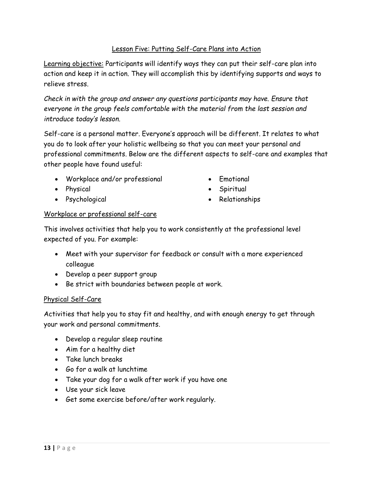#### Lesson Five: Putting Self-Care Plans into Action

Learning objective: Participants will identify ways they can put their self-care plan into action and keep it in action. They will accomplish this by identifying supports and ways to relieve stress.

*Check in with the group and answer any questions participants may have. Ensure that everyone in the group feels comfortable with the material from the last session and introduce today's lesson.*

Self-care is a personal matter. Everyone's approach will be different. It relates to what you do to look after your holistic wellbeing so that you can meet your personal and professional commitments. Below are the different aspects to self-care and examples that other people have found useful:

- Workplace and/or professional
- Physical
- Psychological
- Emotional
- Spiritual
- Relationships

#### Workplace or professional self-care

This involves activities that help you to work consistently at the professional level expected of you. For example:

- Meet with your supervisor for feedback or consult with a more experienced colleague
- Develop a peer support group
- Be strict with boundaries between people at work.

#### Physical Self-Care

Activities that help you to stay fit and healthy, and with enough energy to get through your work and personal commitments.

- Develop a regular sleep routine
- Aim for a healthy diet
- Take lunch breaks
- Go for a walk at lunchtime
- Take your dog for a walk after work if you have one
- Use your sick leave
- Get some exercise before/after work regularly.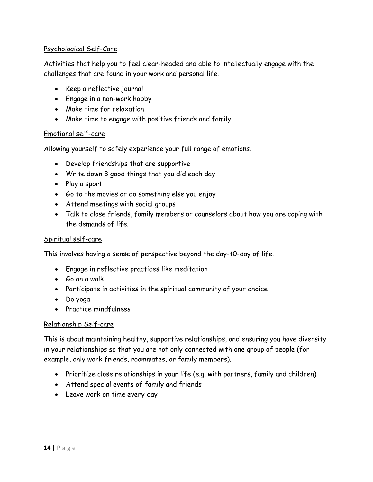#### Psychological Self-Care

Activities that help you to feel clear-headed and able to intellectually engage with the challenges that are found in your work and personal life.

- Keep a reflective journal
- Engage in a non-work hobby
- Make time for relaxation
- Make time to engage with positive friends and family.

#### Emotional self-care

Allowing yourself to safely experience your full range of emotions.

- Develop friendships that are supportive
- Write down 3 good things that you did each day
- Play a sport
- Go to the movies or do something else you enjoy
- Attend meetings with social groups
- Talk to close friends, family members or counselors about how you are coping with the demands of life.

#### Spiritual self-care

This involves having a sense of perspective beyond the day-t0-day of life.

- Engage in reflective practices like meditation
- Go on a walk
- Participate in activities in the spiritual community of your choice
- Do yoga
- Practice mindfulness

#### Relationship Self-care

This is about maintaining healthy, supportive relationships, and ensuring you have diversity in your relationships so that you are not only connected with one group of people (for example, only work friends, roommates, or family members).

- Prioritize close relationships in your life (e.g. with partners, family and children)
- Attend special events of family and friends
- Leave work on time every day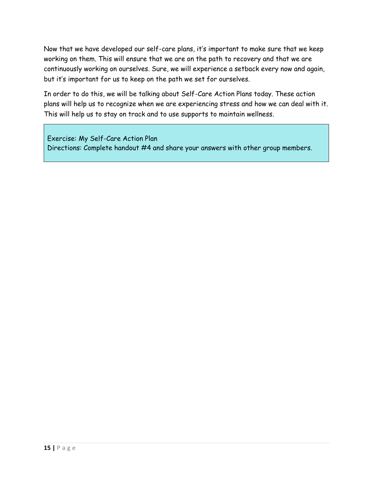Now that we have developed our self-care plans, it's important to make sure that we keep working on them. This will ensure that we are on the path to recovery and that we are continuously working on ourselves. Sure, we will experience a setback every now and again, but it's important for us to keep on the path we set for ourselves.

In order to do this, we will be talking about Self-Care Action Plans today. These action plans will help us to recognize when we are experiencing stress and how we can deal with it. This will help us to stay on track and to use supports to maintain wellness.

Exercise: My Self-Care Action Plan Directions: Complete handout #4 and share your answers with other group members.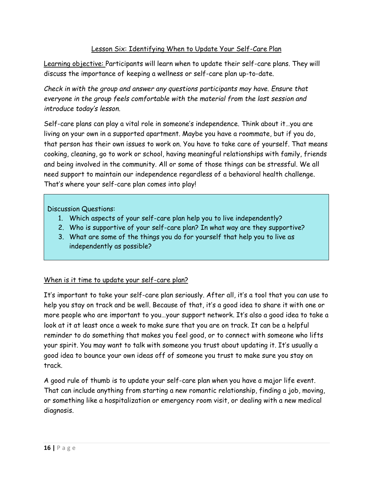#### Lesson Six: Identifying When to Update Your Self-Care Plan

Learning objective: Participants will learn when to update their self-care plans. They will discuss the importance of keeping a wellness or self-care plan up-to-date.

*Check in with the group and answer any questions participants may have. Ensure that everyone in the group feels comfortable with the material from the last session and introduce today's lesson.*

Self-care plans can play a vital role in someone's independence. Think about it…you are living on your own in a supported apartment. Maybe you have a roommate, but if you do, that person has their own issues to work on. You have to take care of yourself. That means cooking, cleaning, go to work or school, having meaningful relationships with family, friends and being involved in the community. All or some of those things can be stressful. We all need support to maintain our independence regardless of a behavioral health challenge. That's where your self-care plan comes into play!

Discussion Questions:

- 1. Which aspects of your self-care plan help you to live independently?
- 2. Who is supportive of your self-care plan? In what way are they supportive?
- 3. What are some of the things you do for yourself that help you to live as independently as possible?

When is it time to update your self-care plan?

It's important to take your self-care plan seriously. After all, it's a tool that you can use to help you stay on track and be well. Because of that, it's a good idea to share it with one or more people who are important to you…your support network. It's also a good idea to take a look at it at least once a week to make sure that you are on track. It can be a helpful reminder to do something that makes you feel good, or to connect with someone who lifts your spirit. You may want to talk with someone you trust about updating it. It's usually a good idea to bounce your own ideas off of someone you trust to make sure you stay on track.

A good rule of thumb is to update your self-care plan when you have a major life event. That can include anything from starting a new romantic relationship, finding a job, moving, or something like a hospitalization or emergency room visit, or dealing with a new medical diagnosis.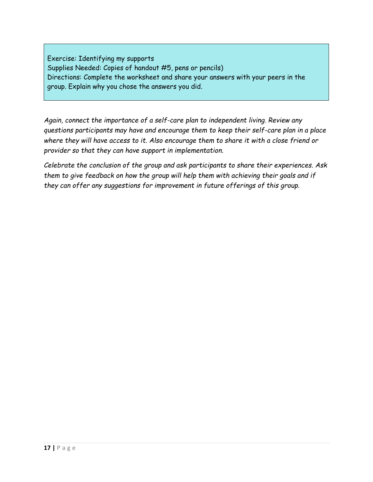Exercise: Identifying my supports Supplies Needed: Copies of handout #5, pens or pencils) Directions: Complete the worksheet and share your answers with your peers in the group. Explain why you chose the answers you did.

*Again, connect the importance of a self-care plan to independent living. Review any questions participants may have and encourage them to keep their self-care plan in a place where they will have access to it. Also encourage them to share it with a close friend or provider so that they can have support in implementation.*

*Celebrate the conclusion of the group and ask participants to share their experiences. Ask them to give feedback on how the group will help them with achieving their goals and if they can offer any suggestions for improvement in future offerings of this group.*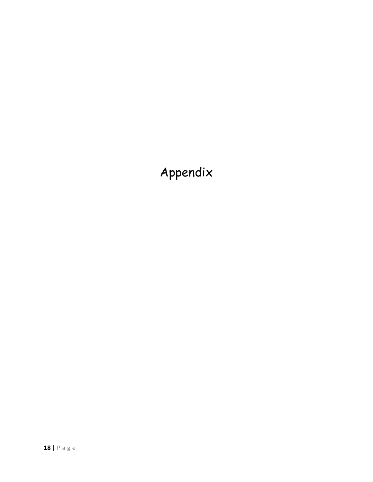# Appendix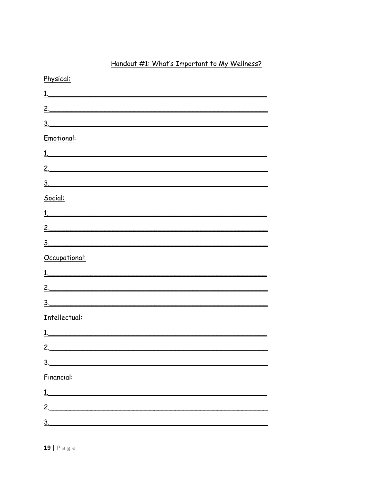## Handout #1: What's Important to My Wellness?

| Physical:        |
|------------------|
|                  |
|                  |
| $\frac{3}{2}$    |
| Emotional:       |
| 1.               |
| <u>2.</u>        |
| 3.               |
| Social:          |
|                  |
|                  |
| 3.               |
| Occupational:    |
| $\overline{1}$ . |
| 2.               |
| $\overline{3}$ . |
| Intellectual:    |
|                  |
|                  |
| 2.               |
| 3 <sub>1</sub>   |
| Financial:       |
|                  |
| 2.               |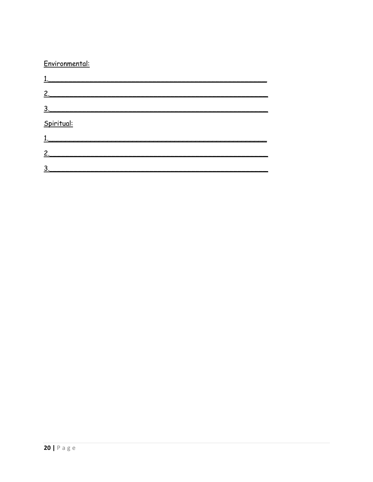#### Environmental:

| 2.                |  |  |
|-------------------|--|--|
| $\underline{3}$ . |  |  |
| Spiritual:        |  |  |
| 1.                |  |  |
| $\mathbf{2}$      |  |  |
| 3.                |  |  |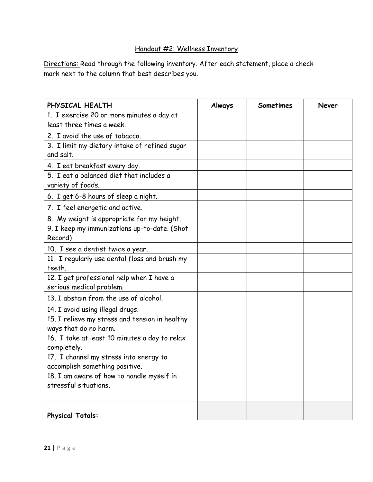# Handout #2: Wellness Inventory

Directions: Read through the following inventory. After each statement, place a check mark next to the column that best describes you.

| PHYSICAL HEALTH                                | Always | <b>Sometimes</b> | Never |
|------------------------------------------------|--------|------------------|-------|
| 1. I exercise 20 or more minutes a day at      |        |                  |       |
| least three times a week.                      |        |                  |       |
| 2. I avoid the use of tobacco.                 |        |                  |       |
| 3. I limit my dietary intake of refined sugar  |        |                  |       |
| and salt.                                      |        |                  |       |
| 4. I eat breakfast every day.                  |        |                  |       |
| 5. I eat a balanced diet that includes a       |        |                  |       |
| variety of foods.                              |        |                  |       |
| 6. I get 6-8 hours of sleep a night.           |        |                  |       |
| 7. I feel energetic and active.                |        |                  |       |
| 8. My weight is appropriate for my height.     |        |                  |       |
| 9. I keep my immunizations up-to-date. (Shot   |        |                  |       |
| Record)                                        |        |                  |       |
| 10. I see a dentist twice a year.              |        |                  |       |
| 11. I regularly use dental floss and brush my  |        |                  |       |
| teeth.                                         |        |                  |       |
| 12. I get professional help when I have a      |        |                  |       |
| serious medical problem.                       |        |                  |       |
| 13. I abstain from the use of alcohol.         |        |                  |       |
| 14. I avoid using illegal drugs.               |        |                  |       |
| 15. I relieve my stress and tension in healthy |        |                  |       |
| ways that do no harm.                          |        |                  |       |
| 16. I take at least 10 minutes a day to relax  |        |                  |       |
| completely.                                    |        |                  |       |
| 17. I channel my stress into energy to         |        |                  |       |
| accomplish something positive.                 |        |                  |       |
| 18. I am aware of how to handle myself in      |        |                  |       |
| stressful situations.                          |        |                  |       |
|                                                |        |                  |       |
| <b>Physical Totals:</b>                        |        |                  |       |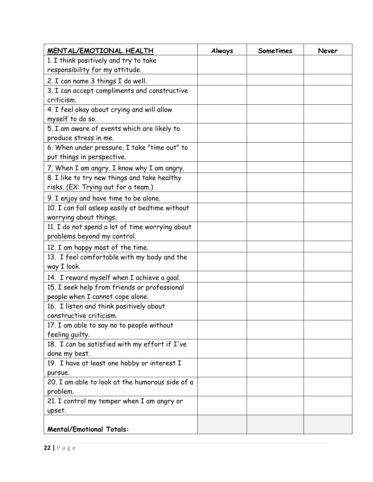| MENTAL/EMOTIONAL HEALTH                         | Always | Sometimes | Never |
|-------------------------------------------------|--------|-----------|-------|
| 1. I think positively and try to take           |        |           |       |
| responsibility for my attitude.                 |        |           |       |
| 2. I can name 3 things I do well.               |        |           |       |
| 3. I can accept compliments and constructive    |        |           |       |
| criticism.                                      |        |           |       |
| 4. I feel okay about crying and will allow      |        |           |       |
| myself to do so.                                |        |           |       |
| 5. I am aware of events which are likely to     |        |           |       |
| produce stress in me.                           |        |           |       |
| 6. When under pressure, I take "time out" to    |        |           |       |
| put things in perspective.                      |        |           |       |
| 7. When I am angry, I know why I am angry.      |        |           |       |
| 8. I like to try new things and take healthy    |        |           |       |
| risks. (EX: Trying out for a team.)             |        |           |       |
| 9. I enjoy and have time to be alone.           |        |           |       |
| 10. I can fall asleep easily at bedtime without |        |           |       |
| worrying about things.                          |        |           |       |
| 11. I do not spend a lot of time worrying about |        |           |       |
| problems beyond my control.                     |        |           |       |
| 12. I am happy most of the time.                |        |           |       |
| 13. I feel comfortable with my body and the     |        |           |       |
| way I look.                                     |        |           |       |
| 14. I reward myself when I achieve a goal.      |        |           |       |
| 15. I seek help from friends or professional    |        |           |       |
| people when I cannot cope alone.                |        |           |       |
| 16. I listen and think positively about         |        |           |       |
| constructive criticism.                         |        |           |       |
| 17. I am able to say no to people without       |        |           |       |
| feeling quilty.                                 |        |           |       |
| 18. I can be satisfied with my effort if I've   |        |           |       |
| done my best.                                   |        |           |       |
| 19. I have at least one hobby or interest I     |        |           |       |
| pursue.                                         |        |           |       |
| 20. I am able to look at the humorous side of a |        |           |       |
| problem.                                        |        |           |       |
| 21. I control my temper when I am angry or      |        |           |       |
| upset.                                          |        |           |       |
| <b>Mental/Emotional Totals:</b>                 |        |           |       |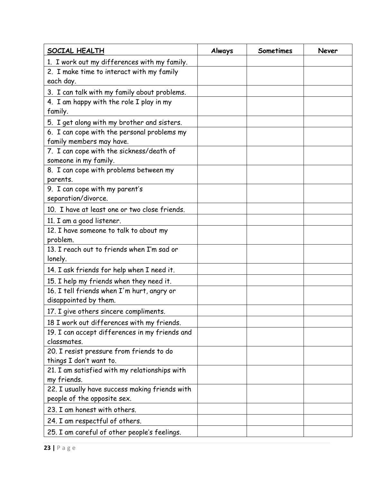| SOCIAL HEALTH                                                 | Always | Sometimes | Never |
|---------------------------------------------------------------|--------|-----------|-------|
| 1. I work out my differences with my family.                  |        |           |       |
| 2. I make time to interact with my family<br>each day.        |        |           |       |
| 3. I can talk with my family about problems.                  |        |           |       |
| 4. I am happy with the role I play in my                      |        |           |       |
| family.                                                       |        |           |       |
| 5. I get along with my brother and sisters.                   |        |           |       |
| 6. I can cope with the personal problems my                   |        |           |       |
| family members may have.                                      |        |           |       |
| 7. I can cope with the sickness/death of                      |        |           |       |
| someone in my family.                                         |        |           |       |
| 8. I can cope with problems between my                        |        |           |       |
| parents.                                                      |        |           |       |
| 9. I can cope with my parent's                                |        |           |       |
| separation/divorce.                                           |        |           |       |
| 10. I have at least one or two close friends.                 |        |           |       |
| 11. I am a good listener.                                     |        |           |       |
| 12. I have someone to talk to about my                        |        |           |       |
| problem.                                                      |        |           |       |
| 13. I reach out to friends when I'm sad or                    |        |           |       |
| lonely.                                                       |        |           |       |
| 14. I ask friends for help when I need it.                    |        |           |       |
| 15. I help my friends when they need it.                      |        |           |       |
| 16. I tell friends when I'm hurt, angry or                    |        |           |       |
| disappointed by them.                                         |        |           |       |
| 17. I give others sincere compliments.                        |        |           |       |
| 18 I work out differences with my friends.                    |        |           |       |
| 19. I can accept differences in my friends and<br>classmates. |        |           |       |
| 20. I resist pressure from friends to do                      |        |           |       |
| things I don't want to.                                       |        |           |       |
| 21. I am satisfied with my relationships with                 |        |           |       |
| my friends.                                                   |        |           |       |
| 22. I usually have success making friends with                |        |           |       |
| people of the opposite sex.                                   |        |           |       |
| 23. I am honest with others.                                  |        |           |       |
| 24. I am respectful of others.                                |        |           |       |
| 25. I am careful of other people's feelings.                  |        |           |       |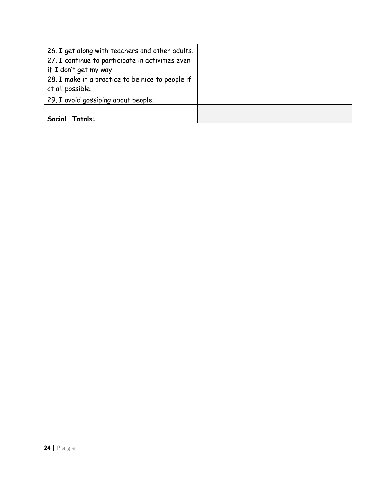| 26. I get along with teachers and other adults.  |  |  |
|--------------------------------------------------|--|--|
| 27. I continue to participate in activities even |  |  |
| if I don't get my way.                           |  |  |
| 28. I make it a practice to be nice to people if |  |  |
| at all possible.                                 |  |  |
| 29. I avoid gossiping about people.              |  |  |
|                                                  |  |  |
| Social<br>Totals:                                |  |  |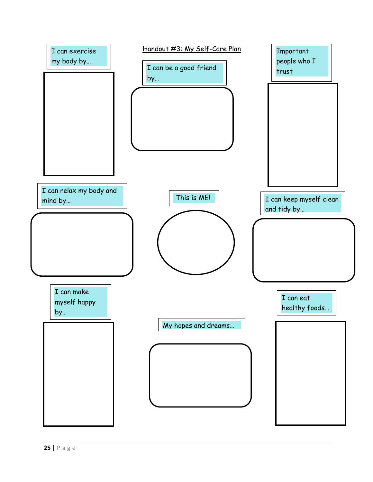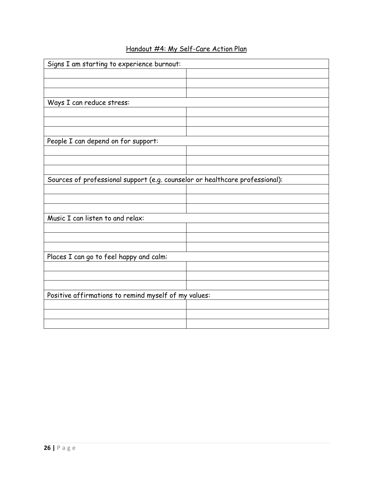| Signs I am starting to experience burnout:                                   |  |
|------------------------------------------------------------------------------|--|
|                                                                              |  |
|                                                                              |  |
|                                                                              |  |
| Ways I can reduce stress:                                                    |  |
|                                                                              |  |
|                                                                              |  |
|                                                                              |  |
| People I can depend on for support:                                          |  |
|                                                                              |  |
|                                                                              |  |
|                                                                              |  |
| Sources of professional support (e.g. counselor or healthcare professional): |  |
|                                                                              |  |
|                                                                              |  |
|                                                                              |  |
| Music I can listen to and relax:                                             |  |
|                                                                              |  |
|                                                                              |  |
|                                                                              |  |
| Places I can go to feel happy and calm:                                      |  |
|                                                                              |  |
|                                                                              |  |
|                                                                              |  |
| Positive affirmations to remind myself of my values:                         |  |
|                                                                              |  |
|                                                                              |  |
|                                                                              |  |

# Handout #4: My Self-Care Action Plan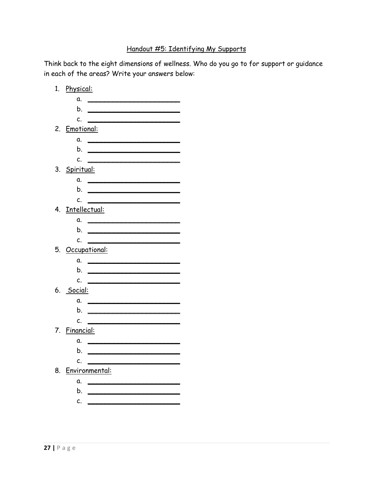## Handout #5: Identifying My Supports

Think back to the eight dimensions of wellness. Who do you go to for support or guidance in each of the areas? Write your answers below:

|    | 1. Physical:                                                                                                                |
|----|-----------------------------------------------------------------------------------------------------------------------------|
|    | α.<br><u> Terminal de la propincia de la propincia de la propincia de la propincia de la propincia de la propincia de l</u> |
|    | b.<br><u> Alexandria de la contrada de la contrada de la contrada de la contrada de la contrada de la contrada de la c</u>  |
|    | c.                                                                                                                          |
|    | 2. Emotional:                                                                                                               |
|    | $a.$ $\qquad \qquad$                                                                                                        |
|    | b.                                                                                                                          |
|    | C.                                                                                                                          |
|    | 3. <u>Spiritual:</u>                                                                                                        |
|    | α.                                                                                                                          |
|    | b.                                                                                                                          |
|    | c.                                                                                                                          |
|    | 4. Intellectual:                                                                                                            |
|    | a.                                                                                                                          |
|    | b.<br><u> 1989 - Johann Stein, mars et al. 1989 - Anna ann an t-</u>                                                        |
|    | C.                                                                                                                          |
|    | 5. Occupational:                                                                                                            |
|    | α.                                                                                                                          |
|    | b.                                                                                                                          |
|    | c.                                                                                                                          |
|    | 6. <u>Social:</u>                                                                                                           |
|    | α.                                                                                                                          |
|    | b.                                                                                                                          |
|    | C.                                                                                                                          |
|    | 7. Financial:                                                                                                               |
|    | α.<br>the contract of the contract of the contract of the contract of the contract of                                       |
|    | b.                                                                                                                          |
|    | c.                                                                                                                          |
| 8. | Environmental:                                                                                                              |
|    | α.                                                                                                                          |
|    | b.                                                                                                                          |
|    | c.                                                                                                                          |
|    |                                                                                                                             |